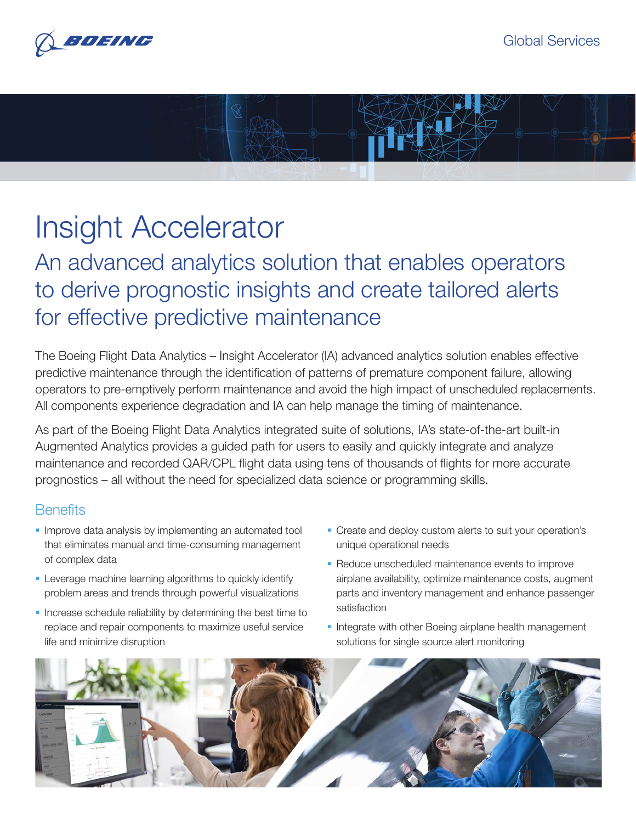

## Insight Accelerator

An advanced analytics solution that enables operators to derive prognostic insights and create tailored alerts for effective predictive maintenance

The Boeing Flight Data Analytics – Insight Accelerator (IA) advanced analytics solution enables effective predictive maintenance through the identification of patterns of premature component failure, allowing operators to pre-emptively perform maintenance and avoid the high impact of unscheduled replacements. All components experience degradation and IA can help manage the timing of maintenance.

As part of the Boeing Flight Data Analytics integrated suite of solutions, IA's state-of-the-art built-in Augmented Analytics provides a guided path for users to easily and quickly integrate and analyze maintenance and recorded QAR/CPL flight data using tens of thousands of flights for more accurate prognostics – all without the need for specialized data science or programming skills.

## **Benefits**

- Improve data analysis by implementing an automated tool that eliminates manual and time-consuming management of complex data
- **EXECTE Leverage machine learning algorithms to quickly identify** problem areas and trends through powerful visualizations
- Increase schedule reliability by determining the best time to replace and repair components to maximize useful service life and minimize disruption
- Create and deploy custom alerts to suit your operation's unique operational needs
- Reduce unscheduled maintenance events to improve airplane availability, optimize maintenance costs, augment parts and inventory management and enhance passenger satisfaction
- Integrate with other Boeing airplane health management solutions for single source alert monitoring